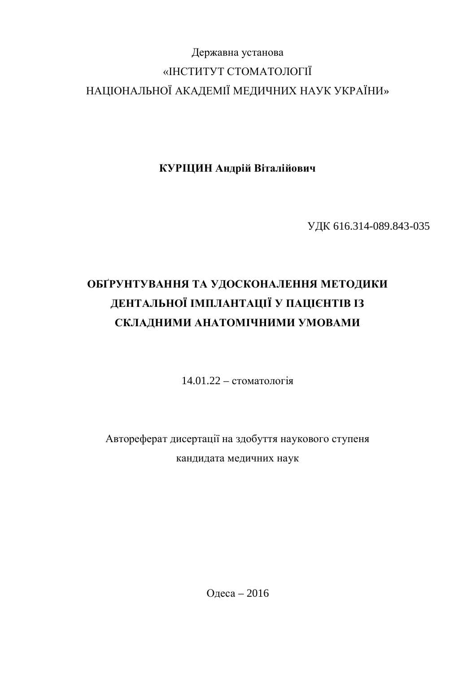# Державна установа «ІНСТИТУТ СТОМАТОЛОГІЇ НАЦІОНАЛЬНОЇ АКАДЕМІЇ МЕДИЧНИХ НАУК УКРАЇНИ»

КУРЩИН Андрій Віталійович

УДК 616.314-089.843-035

# ОБГРУНТУВАННЯ ТА УДОСКОНАЛЕННЯ МЕТОДИКИ ДЕНТАЛЬНОЇ ІМПЛАНТАЦІЇ У ПАЦІЄНТІВ ІЗ СКЛАДНИМИ АНАТОМІЧНИМИ УМОВАМИ

 $14.01.22 -$  стоматологія

Автореферат дисертації на здобуття наукового ступеня кандидата медичних наук

Олеса – 2016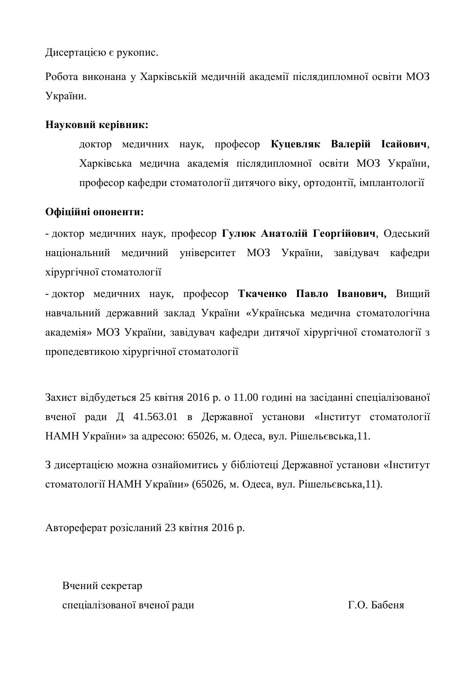Дисертацією є рукопис.

Робота виконана у Харківській меличній акалемії післялипломної освіти МОЗ України.

## Науковий керівник:

доктор медичних наук, професор Куцевляк Валерій Ісайович, Харківська медична академія післядипломної освіти МОЗ України, професор кафедри стоматології дитячого віку, ортодонтії, імплантології

## Офіційні опоненти:

- доктор медичних наук, професор Гулюк Анатолій Георгійович, Одеський національний медичний університет МОЗ України, завідувач кафедри хірургічної стоматології

- доктор медичних наук, професор Ткаченко Павло Іванович, Вищий навчальний державний заклад України «Українська медична стоматологічна академія» МОЗ України, завідувач кафедри дитячої хірургічної стоматології з пропедевтикою хірургічної стоматології

Захист відбудеться 25 квітня 2016 р. о 11.00 годині на засіданні спеціалізованої вченої ради Д 41.563.01 в Державної установи «Інститут стоматології НАМН України» за адресою: 65026, м. Одеса, вул. Рішельєвська,11.

З дисертацією можна ознайомитись у бібліотеці Державної установи «Інститут стоматології НАМН України» (65026, м. Одеса, вул. Рішельєвська,11).

Автореферат розісланий 23 квітня 2016 р.

Вчений секретар спеціалізованої вченої ради П.О. Бабеня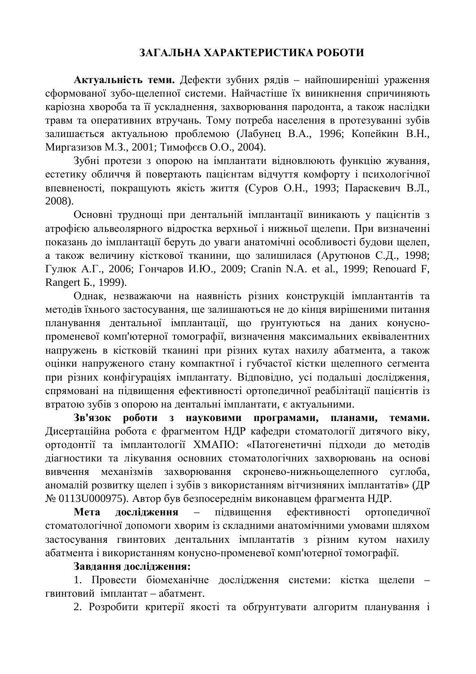## ЗАГАЛЬНА ХАРАКТЕРИСТИКА РОБОТИ

Актуальність теми. Дефекти зубних рядів – найпоширеніші ураження сформованої зубо-шелепної системи. Найчастіше їх виникнення спричиняють каріозна хвороба та її ускладнення, захворювання пародонта, а також наслідки травм та оперативних втручань. Тому потреба населення в протезуванні зубів залишається актуальною проблемою (Лабунец В.А., 1996; Копейкин В.Н., Миргазизов М.З., 2001; Тимофєєв О.О., 2004).

Зубні протези з опорою на імплантати відновлюють функцію жування, естетику обличчя й повертають пацієнтам відчуття комфорту і психологічної впевненості, покращують якість життя (Суров О.Н., 1993; Параскевич В.Л., 2008).

Основні труднощі при дентальній імплантації виникають у пацієнтів з атрофією альвеолярного відростка верхньої і нижньої щелепи. При визначенні показань до імплантації беруть до уваги анатомічні особливості будови щелеп, а також величину кісткової тканини, що залишилася (Арутюнов С.Д., 1998; Гулюк А.Г., 2006; Гончаров И.Ю., 2009; Cranin N.A. et al., 1999; Renouard F, Rangert *B.*, 1999).

Однак, незважаючи на наявність різних конструкцій імплантантів та методів їхнього застосування, ще залишаються не до кінця вирішеними питання планування дентальної імплантації, що ґрунтуються на даних конуснопроменевої комп'ютерної томографії, визначення максимальних еквівалентних напружень в кістковій тканині при різних кутах нахилу абатмента, а також оцінки напруженого стану компактної і губчастої кістки щелепного сегмента при різних конфігураціях імплантату. Відповідно, усі подальші дослідження, спрямовані на підвищення ефективності ортопедичної реабілітації пацієнтів із втратою зубів з опорою на дентальні імплантати, є актуальними.

3в'язок **роботи з науковими програмами, планами, темами.** Дисертаційна робота є фрагментом НДР кафедри стоматології дитячого віку, ортодонтії та імплантології ХМАПО: «Патогенетичні підходи до методів діагностики та лікування основних стоматологічних захворювань на основі вивчення механізмів захворювання скронево-нижньощелепного суглоба, аномалій розвитку щелеп і зубів з використанням вітчизняних імплантатів» (ДР № 0113U000975). Автор був безпосереднім виконавцем фрагмента НДР.

**Мета лослілження** – пілвишення ефективності ортопеличної стоматологічної допомоги хворим із складними анатомічними умовами шляхом застосування гвинтових дентальних імплантатів з різним кутом нахилу абатмента і використанням конусно-променевої комп'ютерної томографії.

#### Завдання дослідження:

1. Провести біомеханічне дослідження системи: кістка щелепи – гвинтовий імплантат – абатмент.

2. Розробити критерії якості та обґрунтувати алгоритм планування і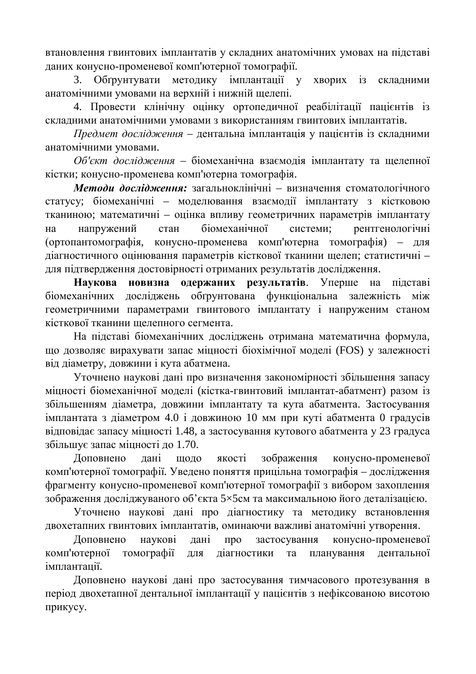втановлення гвинтових імплантатів у складних анатомічних умовах на підставі даних конусно-променевої комп'ютерної томографії.

3. Обгрунтувати методику імплантації у хворих із складними анатомічними умовами на верхній і нижній шелепі.

4. Провести клінічну оцінку ортопедичної реабілітації пацієнтів із складними анатомічними умовами з використанням гвинтових імплантатів.

Предмет дослідження – дентальна імплантація у пацієнтів із складними анатомічними умовами.

Об'єкт дослідження - біомеханічна взаємодія імплантату та щелепної кістки; конусно-променева комп'ютерна томографія.

*Методи дослідження*: загальноклінічні – визначення стоматологічного статусу; біомеханічні – моделювання взаємодії імплантату з кістковою тканиною; математичні – оцінка впливу геометричних параметрів імплантату на напружений стан біомеханічної системи; рентгенологічні (ортопантомографія, конусно-променева комп'ютерна томографія) - для діагностичного оцінювання параметрів кісткової тканини щелеп; статистичні для підтвердження достовірності отриманих результатів дослідження.

Наукова новизна одержаних результатів. Уперше на підставі біомеханічних досліджень обґрунтована функціональна залежність між геометричними параметрами гвинтового імплантату і напруженим станом кісткової тканини шелепного сегмента.

На підставі біомеханічних досліджень отримана математична формула, що дозволяє вирахувати запас міцності біохімічної моделі (FOS) у залежності від діаметру, довжини і кута абатмена.

Уточнено наукові дані про визначення закономірності збільшення запасу міцності біомеханічної моделі (кістка-гвинтовий імплантат-абатмент) разом із збільшенням діаметра, довжини імплантату та кута абатмента. Застосування iмплантата з дiаметром 4.0 i довжиною 10 мм при кутi абатмента 0 градусiв відповідає запасу міцності 1.48, а застосування кутового абатмента у 23 градуса збільшує запас міцності до 1.70.

Доповнено дані щодо якості зображення конусно-променевої комп'ютерної томографії. Уведено поняття прицільна томографія – дослідження фрагменту конусно-променевої комп'ютерної томографії з вибором захоплення зображення досліджуваного об'єкта 5×5см та максимальною його деталізацією.

Уточнено наукові дані про діагностику та методику встановлення двохетапних гвинтових імплантатів, оминаючи важливі анатомічні утворення.

Доповнено наукові дані про застосування конусно-променевої комп'ютерної томографії для діагностики та планування дентальної імплантації.

Доповнено наукові дані про застосування тимчасового протезування в період двохетапної дентальної імплантації у пацієнтів з нефіксованою висотою прикусу.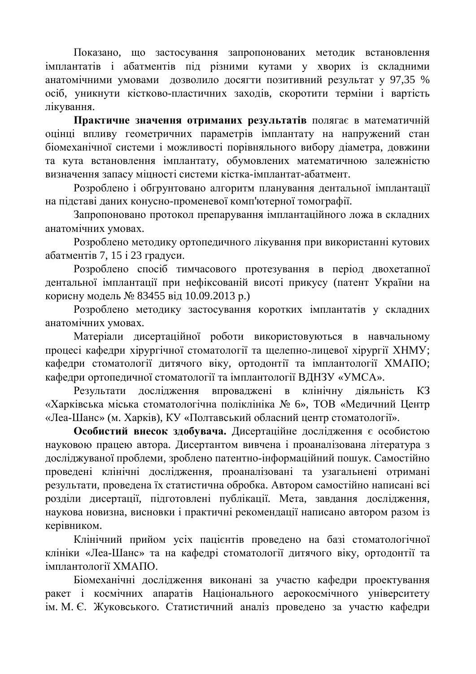Показано, що застосування запропонованих методик встановлення імплантатів і абатментів під різними кутами у хворих із складними анатомічними умовами дозволило досягти позитивний результат у 97,35 % осіб, уникнути кістково-пластичних заходів, скоротити терміни і вартість лікування.

Практичне значення отриманих результатів полягає в математичній оцінці впливу геометричних параметрів імплантату на напружений стан біомеханічної системи і можливості порівняльного вибору діаметра, довжини та кута встановлення імплантату, обумовлених математичною залежністю визначення запасу міцності системи кістка-імплантат-абатмент.

Розроблено і обгрунтовано алгоритм планування дентальної імплантації на підставі даних конусно-променевої комп'ютерної томографії.

Запропоновано протокол препарування імплантаційного ложа в складних анатомічних умовах.

Розроблено методику ортопедичного лікування при використанні кутових абатментів 7, 15 і 23 градуси.

Розроблено спосіб тимчасового протезування в період двохетапної дентальної імплантації при нефіксованій висоті прикусу (патент України на корисну модель № 83455 від 10.09.2013 р.)

Розроблено методику застосування коротких імплантатів у складних анатомічних умовах.

Матеріали дисертаційної роботи використовуються в навчальному процесі кафедри хірургічної стоматології та щелепно-лицевої хірургії ХНМУ; кафедри стоматології дитячого віку, ортодонтії та імплантології ХМАПО; кафедри ортопедичної стоматології та імплантології ВДНЗУ «УМСА».

Результати дослідження впроваджені в клінічну діяльність КЗ «Харківська міська стоматологічна поліклініка № 6», ТОВ «Медичний Центр «Леа-Шанс» (м. Харків), КУ «Полтавський обласний центр стоматології».

Особистий внесок здобувача. Дисертаційне дослідження є особистою науковою працею автора. Дисертантом вивчена і проаналізована література з досліджуваної проблеми, зроблено патентно-інформаційний пошук. Самостійно проведені клінічні дослідження, проаналізовані та узагальнені отримані результати, проведена їх статистична обробка. Автором самостійно написані всі розділи дисертації, підготовлені публікації. Мета, завдання дослідження, наукова новизна, висновки і практичні рекомендації написано автором разом із керівником.

Клінічний прийом усіх пацієнтів проведено на базі стоматологічної клініки «Леа-Шанс» та на кафедрі стоматології дитячого віку, ортодонтії та імплантології ХМАПО.

Біомеханічні дослідження виконані за участю кафедри проектування ракет і космічних апаратів Національного аерокосмічного університету ім. М. Є. Жуковського. Статистичний аналіз проведено за участю кафедри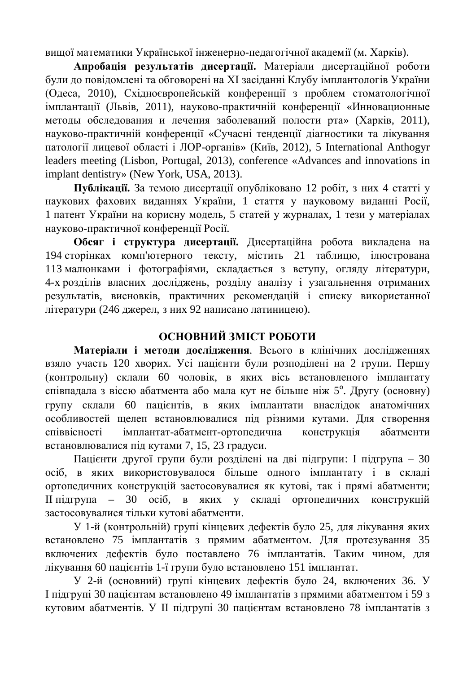вищої математики Української інженерно-педагогічної академії (м. Харків).

Апробація результатів дисертації. Матеріали дисертаційної роботи були до повідомлені та обговорені на XI засіданні Клубу імплантологів України (Олеса, 2010), Схілноєвропейській конференції з проблем стоматологічної імплантації (Львів, 2011), науково-практичній конференції «Инновационные методы обследования и лечения заболеваний полости рта» (Харків, 2011), науково-практичній конференції «Сучасні тенденції діагностики та лікування патології лицевої області і ЛОР-органів» (Київ, 2012), 5 International Anthogyr leaders meeting (Lisbon, Portugal, 2013), conference «Advances and innovations in implant dentistry» (New York, USA, 2013).

Публікації. За темою дисертації опубліковано 12 робіт, з них 4 статті у наукових фахових виданнях України, 1 стаття у науковому виданні Росії, 1 патент України на корисну модель, 5 статей у журналах, 1 тези у матеріалах науково-практичної конференції Росії.

Обсяг і структура дисертації. Дисертаційна робота викладена на 194 сторінках комп'ютерного тексту, містить 21 таблицю, ілюстрована 113 малюнками і фотографіями, складається з вступу, огляду літератури, 4-х розділів власних досліджень, розділу аналізу і узагальнення отриманих результатів, висновків, практичних рекомендацій і списку використанної літератури (246 джерел, з них 92 написано латиницею).

# **ОСНОВНИЙ ЗМІСТ РОБОТИ**

Матеріали і методи дослідження. Всього в клінічних дослідженнях взяло участь 120 хворих. Усі пацієнти були розподілені на 2 групи. Першу (контрольну) склали 60 чоловік, в яких вісь встановленого імплантату співпадала з віссю абатмента або мала кут не більше ніж 5°. Другу (основну) групу склали 60 пацієнтів, в яких імплантати внаслідок анатомічних особливостей щелеп встановлювалися під різними кутами. Для створення співвісності імплантат-абатмент-ортопедична конструкція абатменти встановлювалися під кутами 7, 15, 23 градуси.

Пацієнти другої групи були розділені на дві підгрупи: І підгрупа – 30 осіб, в яких використовувалося більше одного імплантату і в складі ортопедичних конструкцій застосовувалися як кутові, так і прямі абатменти; П підгрупа – 30 осіб, в яких у складі ортопедичних конструкцій застосовувалися тільки кутові абатменти.

У 1-й (контрольній) групі кінцевих дефектів було 25, для лікування яких встановлено 75 імплантатів з прямим абатментом. Для протезування 35 включених дефектів було поставлено 76 імплантатів. Таким чином, для лікування 60 пацієнтів 1-ї групи було встановлено 151 імплантат.

У 2-й (основний) групі кінцевих дефектів було 24, включених 36. У I підгрупі 30 пацієнтам встановлено 49 імплантатів з прямими абатментом і 59 з кутовим абатментів. У II підгрупі 30 пацієнтам встановлено 78 імплантатів з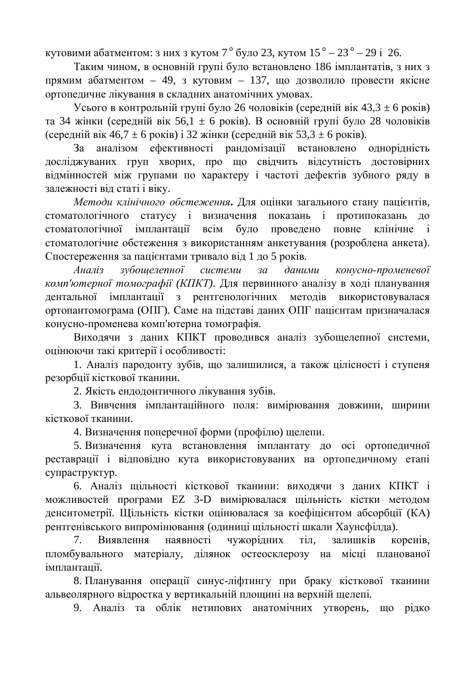кутовими абатментом: з них з кутом 7 ° було 23, кутом 15 ° – 23 ° – 29 і 26.

Таким чином, в основній групі було встановлено 186 імплантатів, з них з прямим абатментом – 49, з кутовим – 137, що дозволило провести якісне ортопедичне лікування в складних анатомічних умовах.

Усього в контрольній групі було 26 чоловіків (середній вік 43,3  $\pm$  6 років) та 34 жінки (середній вік 56,1  $\pm$  6 років). В основній групі було 28 чоловіків (середній вік 46,7  $\pm$  6 років) і 32 жінки (середній вік 53,3  $\pm$  6 років).

За аналізом ефективності рандомізації встановлено однорідність досліджуваних груп хворих, про що свідчить відсутність достовірних відмінностей між групами по характеру і частоті дефектів зубного ряду в залежності віл статі і віку.

*Методи клінічного обстеження*. Для оцінки загального стану пацієнтів, стоматологічного статусу і визначення показань і протипоказань до стоматологічної імплантації всім було проведено повне клінічне і стоматологічне обстеження з використанням анкетування (розроблена анкета). Спостереження за пацієнтами тривало від 1 до 5 років.

*Аналіз* зубошелепної системи за даними конусно-променевої *комп'ютерної томографії (КПКТ)*. Для первинного аналізу в ході планування дентальної імплантації з рентгенологічних методів використовувалася ортопантомограма (ОПГ). Саме на підставі даних ОПГ пацієнтам призначалася конусно-променева комп'ютерна томографія.

Виходячи з даних КПКТ проводився аналіз зубощелепної системи, оцінюючи такі критерії і особливості:

1. Аналіз пародонту зубів, що залишилися, а також цілісності і ступеня резорбції кісткової тканини.

2. Якість ендодонтичного лікування зубів.

3. Вивчення імплантаційного поля: вимірювання довжини, ширини кісткової тканини.

4. Визначення поперечної форми (профілю) щелепи.

5. Визначення кута встановлення імплантату до осі ортопедичної реставрації і відповідно кута використовуваних на ортопедичному етапі супраструктур.

6. Аналіз шільності кісткової тканини: вихолячи з ланих КПКТ і можливостей програми EZ 3-D вимірювалася щільність кістки методом денситометрії. Щільність кістки оцінювалася за коефіцієнтом абсорбції (КА) рентгенівського випромінювання (одиниці щільності шкали Хаунсфілда).

7. Виявлення наявності чужорідних тіл, залишків коренів, пломбувального матеріалу, ділянок остеосклерозу на місці планованої імплантації.

8. Планування операції синус-ліфтингу при браку кісткової тканини альвеолярного відростка у вертикальній площині на верхній щелепі.

9. Аналіз та облік нетипових анатомічних утворень, що рідко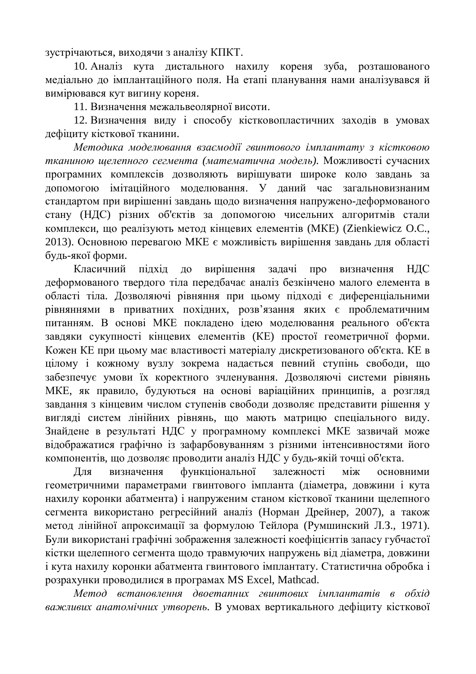зустрічаються, виходячи з аналізу КПКТ.

10. Аналіз кута дистального нахилу кореня зуба, розташованого медіально до імплантаційного поля. На етапі планування нами аналізувався й вимірювався кут вигину кореня.

11. Визначення межальвеолярної висоти.

12. Визначення виду і способу кістковопластичних заходів в умовах дефіциту кісткової тканини.

Методика моделювання взаємодії гвинтового імплантату з кістковою тканиною щелепного сегмента (математична модель). Можливості сучасних програмних комплексів дозволяють вирішувати широке коло завдань за допомогою імітаційного моделювання. У даний час загальновизнаним стандартом при вирішенні завдань щодо визначення напружено-деформованого стану (НДС) різних об'єктів за допомогою чисельних алгоритмів стали комплекси, що реалізують метод кінцевих елементів (МКЕ) (Zienkiewicz O.C., 2013). Основною перевагою МКЕ є можливість вирішення завдань для області будь-якої форми.

Класичний підхід до вирішення задачі про визначення НДС деформованого твердого тіла передбачає аналіз безкінчено малого елемента в області тіла. Дозволяючі рівняння при цьому підході є диференціальними рівняннями в приватних похідних, розв'язання яких є проблематичним питанням. В основі МКЕ покладено ідею моделювання реального об'єкта завдяки сукупності кінцевих елементів (КЕ) простої геометричної форми. Кожен КЕ при цьому має властивості матеріалу дискретизованого об'єкта. КЕ в цілому і кожному вузлу зокрема надається певний ступінь свободи, що забезпечує умови їх коректного зчленування. Дозволяючі системи рівнянь МКЕ, як правило, будуються на основі варіаційних принципів, а розгляд завдання з кінцевим числом ступенів свободи дозволяє представити рішення у вигляді систем лінійних рівнянь, що мають матрицю спеціального виду. Знайдене в результаті НДС у програмному комплексі МКЕ зазвичай може відображатися графічно із зафарбовуванням з різними інтенсивностями його компонентів, що дозволяє проводити аналіз НДС у будь-якій точці об'єкта.

Для визначення функціональної залежності між основними геометричними параметрами гвинтового імпланта (діаметра, довжини і кута нахилу коронки абатмента) і напруженим станом кісткової тканини щелепного сегмента використано регресійний аналіз (Норман Дрейнер, 2007), а також метод лінійної апроксимації за формулою Тейлора (Румшинский Л.З., 1971). Були використані графічні зображення залежності коефіцієнтів запасу губчастої кістки щелепного сегмента щодо травмуючих напружень від діаметра, довжини і кута нахилу коронки абатмента гвинтового імплантату. Статистична обробка і розрахунки проводилися в програмах MS Excel, Mathcad.

*Метод встановлення двоетапних гвинтових імплантатів в обхід* важливих анатомічних утворень. В умовах вертикального дефіциту кісткової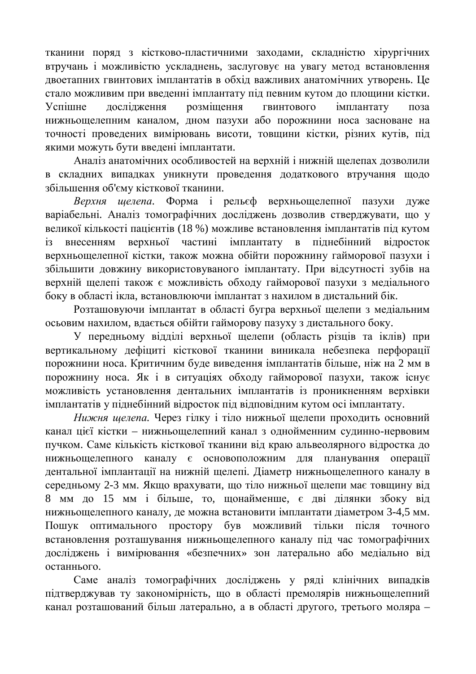тканини поряд з кістково-пластичними заходами, складністю хірургічних втручань і можливістю ускладнень, заслуговує на увагу метод встановлення двоетапних гвинтових імплантатів в обхід важливих анатомічних утворень. Це стало можливим при введенні імплантату під певним кутом до площини кістки. Успішне дослідження розміщення гвинтового імплантату поза нижньощелепним каналом, дном пазухи або порожнини носа засноване на точності проведених вимірювань висоти, товщини кістки, різних кутів, під якими можуть бути введені імплантати.

Аналіз анатомічних особливостей на верхній і нижній щелепах дозволили в складних випадках уникнути проведення додаткового втручання щодо збільшення об'єму кісткової тканини.

Верхня шелепа. Форма і рельєф верхньощелепної пазухи дуже варіабельні. Аналіз томографічних досліджень дозволив стверджувати, що у великої кількості пацієнтів (18 %) можливе встановлення імплантатів під кутом із внесенням верхньої частині імплантату в піднебінний відросток верхньощелепної кістки, також можна обійти порожнину гайморової пазухи і збільшити довжину використовуваного імплантату. При відсутності зубів на верхній щелепі також є можливість обходу гайморової пазухи з медіального боку в області ікла, встановлюючи імплантат з нахилом в дистальний бік.

Розташовуючи імплантат в області бугра верхньої щелепи з медіальним осьовим нахилом, вдається обійти гайморову пазуху з дистального боку.

У передньому відділі верхньої щелепи (область різців та іклів) при вертикальному дефіциті кісткової тканини виникала небезпека перфорації порожнини носа. Критичним буде виведення імплантатів більше, ніж на 2 мм в порожнину носа. Як і в ситуаціях обходу гайморової пазухи, також існує можливість установлення дентальних імплантатів із проникненням верхівки імплантатів у піднебінний відросток під відповідним кутом осі імплантату.

Нижня шелепа. Через гілку і тіло нижньої щелепи проходить основний канал цієї кістки – нижньощелепний канал з однойменним судинно-нервовим пучком. Саме кількість кісткової тканини від краю альвеолярного відростка до нижньощелепного каналу є основоположним для планування операції дентальної імплантації на нижній щелепі. Діаметр нижньощелепного каналу в середньому 2-3 мм. Якщо врахувати, що тіло нижньої щелепи має товщину від 8 мм до 15 мм і більше, то, щонайменше, є дві ділянки збоку від нижньошелепного каналу, де можна встановити імплантати діаметром 3-4,5 мм. Пошук оптимального простору був можливий тільки після точного встановлення розташування нижньощелепного каналу під час томографічних досліджень і вимірювання «безпечних» зон латерально або медіально від останнього.

Саме аналіз томографічних досліджень у ряді клінічних випадків підтверджував ту закономірність, що в області премолярів нижньощелепний канал розташований більш латерально, а в області другого, третього моляра –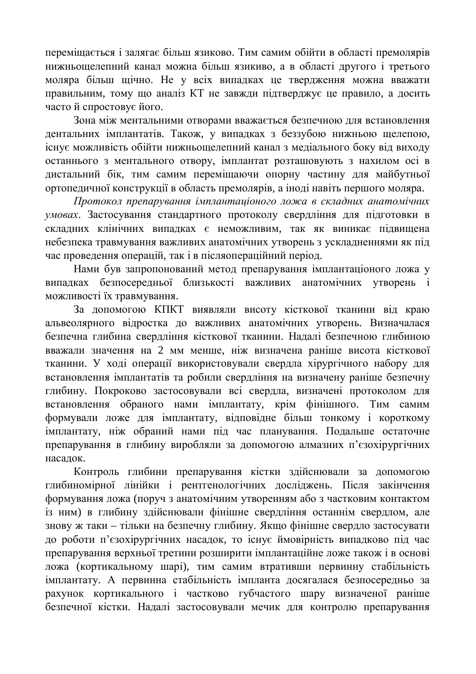переміщається і залягає більш язиково. Тим самим обійти в області премолярів нижньощелепний канал можна більш язикиво, а в області другого і третього моляра більш щічно. Не у всіх випадках це твердження можна вважати правильним, тому що аналіз КТ не завжди підтверджує це правило, а досить часто й спростовує його.

Зона між ментальними отворами вважається безпечною для встановлення дентальних імплантатів. Також, у випадках з беззубою нижньою щелепою, існує можливість обійти нижньощелепний канал з медіального боку від виходу останнього з ментального отвору, імплантат розташовують з нахилом осі в дистальний бік, тим самим переміщаючи опорну частину для майбутньої ортопедичної конструкції в область премолярів, а іноді навіть першого моляра.

Протокол препарування *імплантаціоного ложа в складних анатомічних* умовах. Застосування стандартного протоколу свердління для підготовки в складних клінічних випадках є неможливим, так як виникає підвищена небезпека травмування важливих анатомічних утворень з ускладненнями як під час проведення операцій, так і в післяопераційний період.

Нами був запропонований метод препарування імплантаціоного ложа у випадках безпосередньої близькості важливих анатомічних утворень і можливості їх травмування.

За допомогою КПКТ виявляли висоту кісткової тканини від краю альвеолярного відростка до важливих анатомічних утворень. Визначалася безпечна глибина свердління кісткової тканини. Надалі безпечною глибиною вважали значення на 2 мм менше, ніж визначена раніше висота кісткової тканини. У ході операції використовували свердла хірургічного набору для встановлення імплантатів та робили свердління на визначену раніше безпечну глибину. Покроково застосовували всі свердла, визначені протоколом для встановлення обраного нами імплантату, крім фінішного. Тим самим формували ложе для імплантату, відповідне більш тонкому і короткому імплантату, ніж обраний нами під час планування. Подальше остаточне препарування в глибину виробляли за допомогою алмазних п'єзохірургічних насалок.

Контроль глибини препарування кістки здійснювали за допомогою глибиномірної лінійки і рентгенологічних досліджень. Після закінчення формування ложа (поруч з анатомічним утворенням або з частковим контактом із ним) в глибину злійснювали фінішне свердління останнім свердлом, але знову ж таки – тільки на безпечну глибину. Якщо фінішне свердло застосувати до роботи п'єзохірургічних насадок, то існує ймовірність випадково під час препарування верхньої третини розширити імплантаційне ложе також і в основі ложа (кортикальному шарі), тим самим втративши первинну стабільність імплантату. А первинна стабільність імпланта досягалася безпосередньо за рахунок кортикального і частково губчастого шару визначеної раніше безпечної кістки. Надалі застосовували мечик для контролю препарування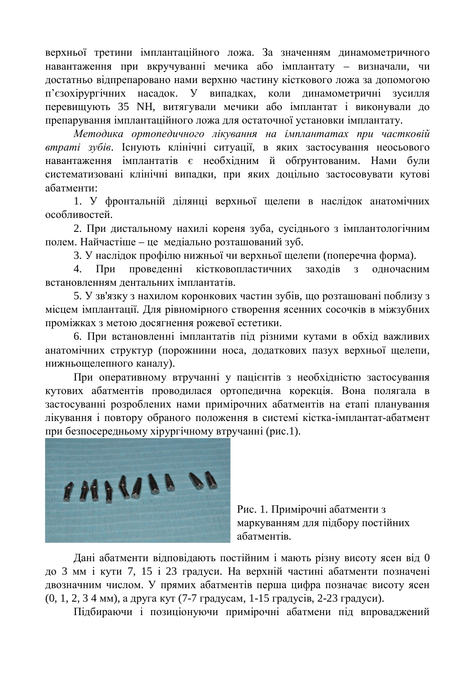верхньої третини імплантаційного ложа. За значенням динамометричного навантаження при вкручуванні мечика або імплантату – визначали, чи достатньо відпрепаровано нами верхню частину кісткового ложа за допомогою п'єзохірургічних насалок. У випалках, коли линамометричні зусилля перевищують 35 NH, витягували мечики або імплантат і виконували до препарування імплантаційного ложа для остаточної установки імплантату.

Методика ортопедичного лікування на *імплантатах при частковій втраті зубів*. Існують клінічні ситуації, в яких застосування неосьового навантаження імплантатів є необхідним й обґрунтованим. Нами були систематизовані клінічні випадки, при яких доцільно застосовувати кутові абатменти:

1. У фронтальній ділянці верхньої щелепи в наслідок анатомічних особливостей.

2. При дистальному нахилі кореня зуба, сусіднього з імплантологічним полем. Найчастіше – це медіально розташований зуб.

3. У наслідок профілю нижньої чи верхньої щелепи (поперечна форма).

4. При проведенні кістковопластичних заходів з одночасним встановленням дентальних імплантатів.

5. У зв'язку з нахилом коронкових частин зубів, що розташовані поблизу з місцем імплантації. Для рівномірного створення ясенних сосочків в міжзубних проміжках з метою досягнення рожевої естетики.

6. При встановленні імплантатів під різними кутами в обхід важливих анатомічних структур (порожнини носа, додаткових пазух верхньої щелепи, нижньощелепного каналу).

При оперативному втручанні у пацієнтів з необхідністю застосування кутових абатментів проводилася ортопедична корекція. Вона полягала в застосуванні розроблених нами примірочних абатментів на етапі планування лікування і повтору обраного положення в системі кістка-імплантат-абатмент при безпосередньому хірургічному втручанні (рис.1).



Рис. 1. Примірочні абатменти з маркуванням для підбору постійних абатментів.

Дані абатменти відповідають постійним і мають різну висоту ясен від 0 до 3 мм і кути 7, 15 і 23 градуси. На верхній частині абатменти позначені двозначним числом. У прямих абатментів перша цифра позначає висоту ясен  $(0, 1, 2, 3 4$  мм), а друга кут  $(7-7)$  градусам, 1-15 градусів, 2-23 градуси).

Підбираючи і позиціонуючи примірочні абатмени під впроваджений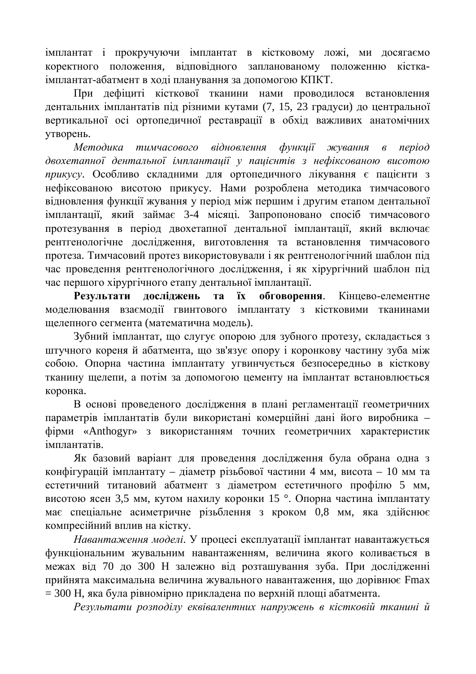імплантат і прокручуючи імплантат в кістковому ложі, ми досягаємо коректного положення, відповідного запланованому положенню кісткаімплантат-абатмент в ході планування за допомогою КПКТ.

При дефіциті кісткової тканини нами проводилося встановлення дентальних імплантатів під різними кутами (7, 15, 23 градуси) до центральної вертикальної осі ортопедичної реставрації в обхід важливих анатомічних vтворень.

Методика тимчасового відновлення функи*ії жування в період* двохетапної дентальної імплантації у пацієнтів з нефіксованою висотою прикусу. Особливо складними для ортопедичного лікування є пацієнти з нефіксованою висотою прикусу. Нами розроблена методика тимчасового відновлення функції жування у період між першим і другим етапом дентальної імплантації, який займає 3-4 місяці. Запропоновано спосіб тимчасового протезування в період двохетапної дентальної імплантації, який включає рентгенологічне дослідження, виготовлення та встановлення тимчасового протеза. Тимчасовий протез використовували і як рентгенологічний шаблон під час проведення рентгенологічного дослідження, і як хірургічний шаблон під час першого хірургічного етапу дентальної імплантації.

Результати досліджень та їх обговорення. Кінцево-елементне моделювання взаємодії гвинтового імплантату з кістковими тканинами щелепного сегмента (математична модель).

Зубний імплантат, що слугує опорою для зубного протезу, складається з штучного кореня й абатмента, що зв'язує опору і коронкову частину зуба між собою. Опорна частина імплантату угвинчується безпосередньо в кісткову тканину щелепи, а потім за допомогою цементу на імплантат встановлюється коронка.

В основі проведеного дослідження в плані регламентації геометричних параметрів імплантатів були використані комерційні дані його виробника – фірми «Anthogyr» з використанням точних геометричних характеристик iMUTAHTATIR

Як базовий варіант для проведення дослідження була обрана одна з конфігурацій імплантату – діаметр різьбової частини 4 мм, висота – 10 мм та естетичний титановий абатмент з діаметром естетичного профілю 5 мм, висотою ясен 3,5 мм, кутом нахилу коронки 15 °. Опорна частина імплантату має спеціальне асиметричне різьблення з кроком 0,8 мм, яка здійснює компресійний вплив на кістку.

Навантаження моделі. У процесі експлуатації імплантат навантажується функціональним жувальним навантаженням, величина якого коливається в межах від 70 до 300 Н залежно від розташування зуба. При дослідженні прийнята максимальна величина жувального навантаження, що дорівнює Fmax  $= 300$  Н, яка була рівномірно прикладена по верхній площі абатмента.

Результати розподілу еквівалентних напружень в кістковій тканині й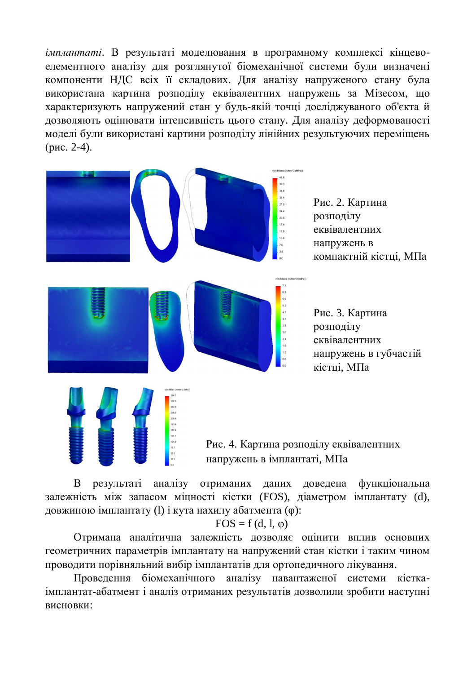*імплантаті*. В результаті моделювання в програмному комплексі кінцевоелементного аналізу для розглянутої біомеханічної системи були визначені компоненти НДС всіх її складових. Для аналізу напруженого стану була використана картина розподілу еквівалентних напружень за Мізесом, що характеризують напружений стан у будь-якій точці досліджуваного об'єкта й дозволяють оцінювати інтенсивність цього стану. Для аналізу деформованості моделі були використані картини розподілу лінійних результуючих переміщень  $(pnc. 2-4)$ .



Рис. 4. Картина розподілу еквівалентних напружень в імплантаті, МПа

В результаті аналізу отриманих даних доведена функціональна залежність між запасом міцності кістки (FOS), діаметром імплантату (d), довжиною імплантату (1) і кута нахилу абатмента (ф):

#### $FOS = f(d, l, \varphi)$

Отримана аналітична залежність дозволяє оцінити вплив основних геометричних параметрів імплантату на напружений стан кістки і таким чином проводити порівняльний вибір імплантатів для ортопедичного лікування.

Проведення біомеханічного аналізу навантаженої системи кісткаімплантат-абатмент і аналіз отриманих результатів дозволили зробити наступні **BUCHOBKU:**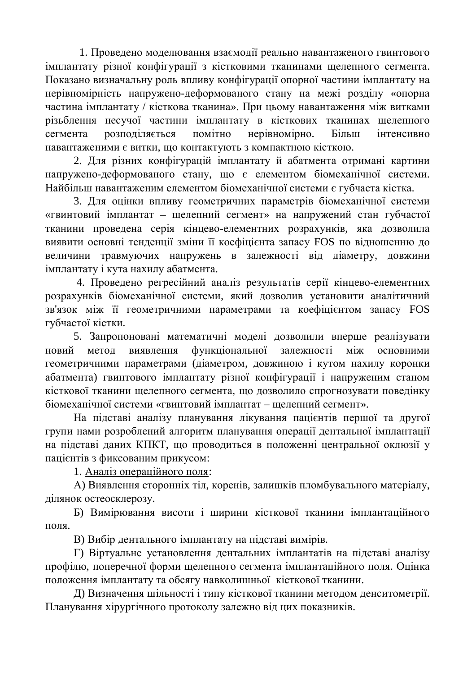1. Проведено моделювання взаємодії реально навантаженого гвинтового імплантату різної конфігурації з кістковими тканинами щелепного сегмента. Показано визначальну роль впливу конфігурації опорної частини імплантату на нерівномірність напружено-деформованого стану на межі розділу «опорна частина імплантату / кісткова тканина». При цьому навантаження між витками різьблення несучої частини імплантату в кісткових тканинах щелепного сегмента розподіляється помітно нерівномірно. Більш інтенсивно навантаженими є витки, що контактують з компактною кісткою.

2. Для різних конфігурацій імплантату й абатмента отримані картини напружено-деформованого стану, що є елементом біомеханічної системи. Найбільш навантаженим елементом біомеханічної системи є губчаста кістка.

3. Для оцінки впливу геометричних параметрів біомеханічної системи «гвинтовий імплантат – щелепний сегмент» на напружений стан губчастої тканини проведена серія кінцево-елементних розрахунків, яка дозволила виявити основні тенденції зміни її коефіцієнта запасу FOS по відношенню до величини травмуючих напружень в залежності від діаметру, довжини імплантату і кута нахилу абатмента.

4. Проведено регресійний аналіз результатів серії кінцево-елементних розрахунків біомеханічної системи, який дозволив установити аналітичний зв'язок між її геометричними параметрами та коефіцієнтом запасу FOS губчастої кістки.

5. Запропоновані математичні моделі дозволили вперше реалізувати новий метод виявлення функціональної залежності між основними геометричними параметрами (діаметром, довжиною і кутом нахилу коронки абатмента) гвинтового імплантату різної конфігурації і напруженим станом кісткової тканини щелепного сегмента, що дозволило спрогнозувати поведінку біомеханічної системи «гвинтовий імплантат – щелепний сегмент».

На підставі аналізу планування лікування пацієнтів першої та другої групи нами розроблений алгоритм планування операції дентальної імплантації на підставі даних КПКТ, що проводиться в положенні центральної оклюзії у пацієнтів з фиксованим прикусом:

1. Аналіз операційного поля:

А) Виявлення сторонніх тіл, коренів, залишків пломбувального матеріалу, ділянок остеосклерозу.

Б) Вимірювання висоти і ширини кісткової тканини імплантаційного поля.

В) Вибір дентального імплантату на підставі вимірів.

Г) Віртуальне установлення дентальних імплантатів на підставі аналізу профілю, поперечної форми щелепного сегмента імплантаційного поля. Оцінка положення імплантату та обсягу навколишньої кісткової тканини.

Д) Визначення щільності і типу кісткової тканини методом денситометрії. Планування хірургічного протоколу залежно від цих показників.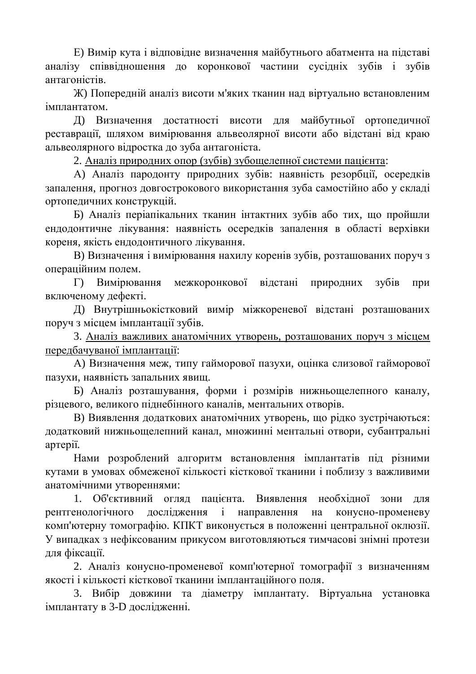Е) Вимір кута і відповідне визначення майбутнього абатмента на підставі аналізу співвідношення до коронкової частини сусідніх зубів і зубів антагоністів.

Ж) Попередній аналіз висоти м'яких тканин над віртуально встановленим імплантатом.

Д) Визначення достатності висоти для майбутньої ортопедичної реставрації, шляхом вимірювання альвеолярної висоти або відстані від краю альвеолярного відростка до зуба антагоніста.

2. Аналіз природних опор (зубів) зубощелепної системи пацієнта:

А) Аналіз пародонту природних зубів: наявність резорбції, осередків запалення, прогноз довгострокового використання зуба самостійно або у складі ортопедичних конструкцій.

Б) Аналіз періапікальних тканин інтактних зубів або тих, що пройшли ендодонтичне лікування: наявність осередків запалення в області верхівки кореня, якість ендодонтичного лікування.

В) Визначення і вимірювання нахилу коренів зубів, розташованих поруч з операційним полем.

Г) Вимірювання межкоронкової відстані природних зубів при включеному дефекті.

Д) Внутрішньокістковий вимір міжкореневої відстані розташованих поруч з місцем імплантації зубів.

3. Аналіз важливих анатомічних утворень, розташованих поруч з місцем передбачуваної імплантації:

А) Визначення меж, типу гайморової пазухи, оцінка слизової гайморової пазухи, наявність запальних явищ.

Б) Аналіз розташування, форми і розмірів нижньощелепного каналу, різцевого, великого піднебінного каналів, ментальних отворів.

В) Виявлення додаткових анатомічних утворень, що рідко зустрічаються: додатковий нижньощелепний канал, множинні ментальні отвори, субантральні aprepiï.

Нами розроблений алгоритм встановлення імплантатів під різними кутами в умовах обмеженої кількості кісткової тканини і поблизу з важливими анатомічними утвореннями:

1. Об'єктивний огляд пацієнта. Виявлення необхідної зони для рентгенологічного дослідження і направлення на конусно-променеву комп'ютерну томографію. КПКТ виконується в положенні центральної оклюзії. У випадках з нефіксованим прикусом виготовляються тимчасові знімні протези для фіксації.

2. Аналіз конусно-променевої комп'ютерної томографії з визначенням якості і кількості кісткової тканини імплантаційного поля.

3. Вибір довжини та діаметру імплантату. Віртуальна установка імплантату в 3-D дослідженні.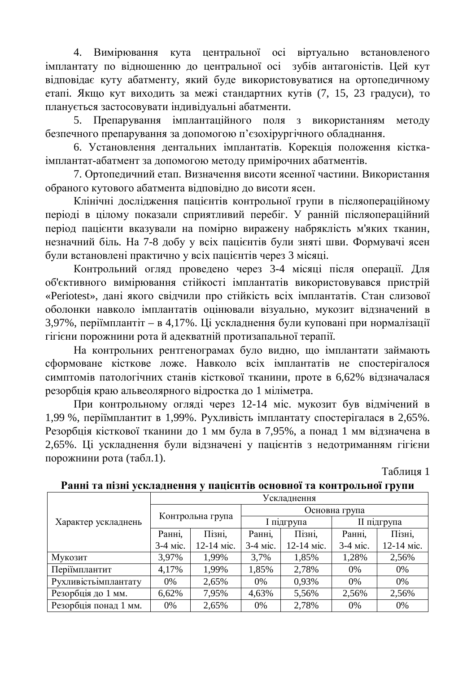4. Вимірювання кута центральної осі віртуально встановленого імплантату по відношенню до центральної осі зубів антагоністів. Цей кут відповідає куту абатменту, який буде використовуватися на ортопедичному етапі. Якщо кут виходить за межі стандартних кутів (7, 15, 23 градуси), то планується застосовувати індивідуальні абатменти.

5. Препарування імплантаційного поля з використанням методу безпечного препарування за допомогою п'єзохірургічного обладнання.

6. Установлення дентальних імплантатів. Корекція положення кісткаімплантат-абатмент за допомогою методу примірочних абатментів.

7. Ортопедичний етап. Визначення висоти ясенної частини. Використання обраного кутового абатмента відповідно до висоти ясен.

Клінічні дослідження пацієнтів контрольної групи в післяопераційному періоді в цілому показали сприятливий перебіг. У ранній післяопераційний період пацієнти вказували на помірно виражену набряклість м'яких тканин, незначний біль. На 7-8 добу у всіх пацієнтів були зняті шви. Формувачі ясен були встановлені практично у всіх пацієнтів через 3 місяці.

Контрольний огляд проведено через 3-4 місяці після операції. Для об'єктивного вимірювання стійкості імплантатів використовувався пристрій «Periotest», дані якого свідчили про стійкість всіх імплантатів. Стан слизової оболонки навколо імплантатів оцінювали візуально, мукозит відзначений в 3,97%, періїмплантіт – в 4,17%. Ці ускладнення були куповані при нормалізації гігієни порожнини рота й адекватній протизапальної терапії.

На контрольних рентгенограмах було видно, що імплантати займають сформоване кісткове ложе. Навколо всіх імплантатів не спостерігалося симптомів патологічних станів кісткової тканини, проте в 6,62% відзначалася резорбція краю альвеолярного відростка до 1 міліметра.

При контрольному огляді через 12-14 міс. мукозит був відмічений в 1,99 %, періїмплантит в 1,99%. Рухливість імплантату спостерігалася в 2,65%. Резорбція кісткової тканини до 1 мм була в 7,95%, а понад 1 мм відзначена в 2,65%. Ці ускладнення були відзначені у пацієнтів з недотриманням гігієни порожнини рота (табл.1).

Таблиня 1

| Характер ускладнень   | Ускладнення      |            |               |            |             |            |
|-----------------------|------------------|------------|---------------|------------|-------------|------------|
|                       | Контрольна група |            | Основна група |            |             |            |
|                       |                  |            | I підгрупа    |            | II підгрупа |            |
|                       | Ранні,           | Пізні,     | Ранні,        | Пізні,     | Ранні,      | Пізні,     |
|                       | 3-4 міс.         | 12-14 міс. | 3-4 міс.      | 12-14 міс. | 3-4 міс.    | 12-14 міс. |
| Мукозит               | 3,97%            | 1,99%      | 3,7%          | 1,85%      | 1,28%       | 2,56%      |
| Періїмплантит         | 4,17%            | 1,99%      | 1,85%         | 2,78%      | 0%          | 0%         |
| Рухливість імплантату | 0%               | 2,65%      | 0%            | 0,93%      | 0%          | 0%         |
| Резорбція до 1 мм.    | 6,62%            | 7,95%      | 4,63%         | 5,56%      | 2,56%       | 2,56%      |
| Резорбція понад 1 мм. | 0%               | 2,65%      | 0%            | 2,78%      | 0%          | 0%         |

Ранні та пізні ускладнення у пацієнтів основної та контрольної групи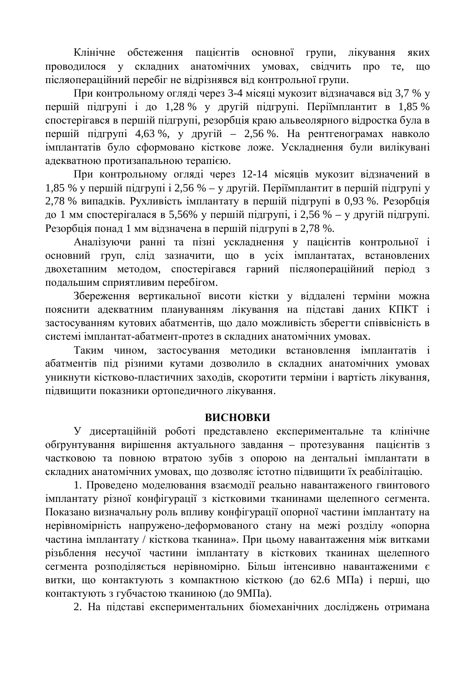Клінічне обстеження пацієнтів основної групи, лікування яких проводилося у складних анатомічних умовах, свідчить про те, що післяопераційний перебіг не відрізнявся від контрольної групи.

При контрольному огляді через 3-4 місяці мукозит відзначався від 3,7 % у першій підгрупі і до 1,28 % у другій підгрупі. Періїмплантит в 1,85 % спостерігався в першій підгрупі, резорбція краю альвеолярного відростка була в першій підгрупі 4,63 %, у другій – 2,56 %. На рентгенограмах навколо імплантатів було сформовано кісткове ложе. Ускладнення були вилікувані адекватною протизапальною терапією.

При контрольному огляді через 12-14 місяців мукозит відзначений в 1,85 % у першій підгрупі і 2,56 % – у другій. Періїмплантит в першій підгрупі у 2,78 % випадків. Рухливість імплантату в першій підгрупі в 0,93 %. Резорбція до 1 мм спостерігалася в 5,56% у першій підгрупі, і 2,56 % – у другій підгрупі. Резорбція понад 1 мм відзначена в першій підгрупі в 2,78 %.

Аналізуючи ранні та пізні ускладнення у пацієнтів контрольної і основний груп, слід зазначити, що в усіх імплантатах, встановлених двохетапним методом, спостерігався гарний післяопераційний період з подальшим сприятливим перебігом.

Збереження вертикальної висоти кістки у віддалені терміни можна пояснити адекватним плануванням лікування на підставі даних КПКТ і застосуванням кутових абатментів, що дало можливість зберегти співвісність в системі імплантат-абатмент-протез в складних анатомічних умовах.

Таким чином, застосування методики встановлення імплантатів і абатментів під різними кутами дозволило в складних анатомічних умовах уникнути кістково-пластичних заходів, скоротити терміни і вартість лікування, підвищити показники ортопедичного лікування.

### **ВИСНОВКИ**

У дисертаційній роботі представлено експериментальне та клінічне обґрунтування вирішення актуального завдання - протезування пацієнтів з частковою та повною втратою зубів з опорою на дентальні імплантати в складних анатомічних умовах, що дозволяє істотно підвищити їх реабілітацію.

1. Проведено моделювання взаємодії реально навантаженого гвинтового імплантату різної конфігурації з кістковими тканинами щелепного сегмента. Показано визначальну роль впливу конфігурації опорної частини імплантату на нерівномірність напружено-деформованого стану на межі розділу «опорна частина імплантату / кісткова тканина». При цьому навантаження між витками різьблення несучої частини імплантату в кісткових тканинах щелепного сегмента розподіляється нерівномірно. Більш інтенсивно навантаженими є витки, що контактують з компактною кісткою (до 62.6 МПа) і перші, що контактують з губчастою тканиною (до 9МПа).

2. На підставі експериментальних біомеханічних досліджень отримана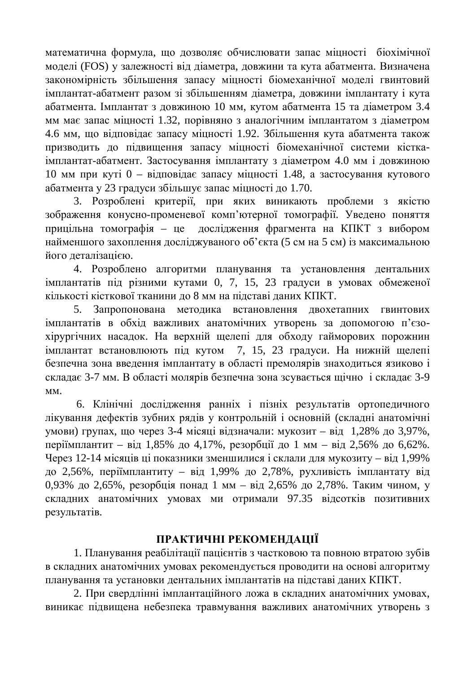математична формула, що дозволяє обчислювати запас міцності біохімічної моделі (FOS) у залежності від діаметра, довжини та кута абатмента. Визначена закономірність збільшення запасу міцності біомеханічної моделі гвинтовий імплантат-абатмент разом зі збільшенням ліаметра, ловжини імплантату і кута абатмента. Імплантат з довжиною 10 мм, кутом абатмента 15 та діаметром 3.4 мм має запас міцності 1.32, порівняно з аналогічним імплантатом з діаметром 4.6 мм, що відповідає запасу міцності 1.92. Збільшення кута абатмента також призводить до підвищення запасу міцності біомеханічної системи кісткаімплантат-абатмент. Застосування імплантату з діаметром 4.0 мм і довжиною 10 мм при куті 0 – відповідає запасу міцності 1.48, а застосування кутового абатмента у 23 градуси збільшує запас міцності до 1.70.

3. Розроблені критерії, при яких виникають проблеми з якістю зображення конусно-променевої комп'ютерної томографії. Уведено поняття прицільна томографія – це дослідження фрагмента на КПКТ з вибором найменшого захоплення досліджуваного об'єкта (5 см на 5 см) із максимальною його деталізацією.

4. Розроблено алгоритми планування та установлення дентальних імплантатів під різними кутами 0, 7, 15, 23 градуси в умовах обмеженої кількості кісткової тканини до 8 мм на підставі даних КПКТ.

5. Запропонована методика встановлення двохетапних гвинтових імплантатів в обхід важливих анатомічних утворень за допомогою п'єзохірургічних насадок. На верхній щелепі для обходу гайморових порожнин імплантат встановлюють під кутом 7, 15, 23 градуси. На нижній щелепі безпечна зона введення імплантату в області премолярів знаходиться язиково і складає 3-7 мм. В області молярів безпечна зона зсувається щічно і складає 3-9 MM.

6. Клінічні дослідження ранніх і пізніх результатів ортопедичного лікування дефектів зубних рядів у контрольній і основній (складні анатомічні умови) групах, що через 3-4 місяці відзначали: мукозит – від 1,28% до 3,97%, періїмплантит – від 1,85% до 4,17%, резорбції до 1 мм – від 2,56% до 6,62%. Через 12-14 місяців ці показники зменшилися і склали для мукозиту – від 1,99% до 2,56%, періїмплантиту – від 1,99% до 2,78%, рухливість імплантату від 0,93% до 2,65%, резорбція понад 1 мм – від 2,65% до 2,78%. Таким чином, у складних анатомічних умовах ми отримали 97.35 відсотків позитивних результатів.

## ПРАКТИЧНІ РЕКОМЕНДАЦІЇ

1. Планування реабілітації пацієнтів з частковою та повною втратою зубів в складних анатомічних умовах рекомендується проводити на основі алгоритму планування та установки дентальних імплантатів на підставі даних КПКТ.

2. При свердлінні імплантаційного ложа в складних анатомічних умовах, виникає підвищена небезпека травмування важливих анатомічних утворень з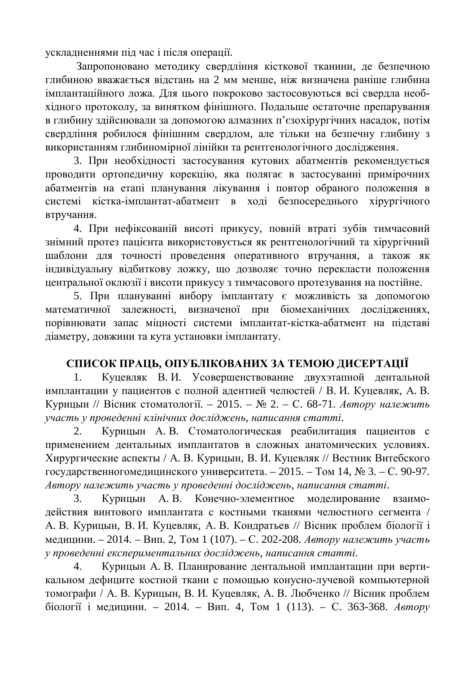ускладненнями під час і після операції.

Запропоновано методику свердління кісткової тканини, де безпечною глибиною вважається відстань на 2 мм менше, ніж визначена раніше глибина імплантаційного ложа. Для цього покроково застосовуються всі свердла необхідного протоколу, за винятком фінішного. Подальше остаточне препарування в глибину здійснювали за допомогою алмазних п'єзохірургічних насадок, потім свердління робилося фінішним свердлом, але тільки на безпечну глибину з використанням глибиномірної лінійки та рентгенологічного дослідження.

3. При необхідності застосування кутових абатментів рекомендується проводити ортопедичну корекцію, яка полягає в застосуванні примірочних абатментів на етапі планування лікування і повтор обраного положення в системі кістка-імплантат-абатмент в ході безпосереднього хірургічного втручання.

4. При нефіксованій висоті прикусу, повній втраті зубів тимчасовий знімний протез пацієнта використовується як рентгенологічний та хірургічний шаблони для точності проведення оперативного втручання, а також як індивідуальну відбиткову ложку, що дозволяє точно перекласти положення центральної оклюзії і висоти прикусу з тимчасового протезування на постійне.

5. При плануванні вибору імплантату є можливість за допомогою математичної залежності, визначеної при біомеханічних дослідженнях, порівнювати запас міцності системи імплантат-кістка-абатмент на підставі діаметру, довжини та кута установки імплантату.

## СПИСОК ПРАЦЬ, ОПУБЛІКОВАНИХ ЗА ТЕМОЮ ДИСЕРТАЦІЇ

1. Куцевляк В.И. Усовершенствование двухэтапной дентальной имплантации у пациентов с полной адентией челюстей / В. И. Куцевляк, А. В. Курицын // Вісник стоматології. – 2015. – № 2. – С. 68-71. Автору належить *ɭɱɚɫɬɶɭɩɪɨɜɟɞɟɧɧɿɤɥɿɧɿɱɧɢɯɞɨɫɥɿɞɠɟɧɶ, ɧɚɩɢɫɚɧɧɹɫɬɚɬɬɿ*.

2. Курицын А.В. Стоматологическая реабилитация пациентов с применением дентальных имплантатов в сложных анатомических условиях. Хирургические аспекты / А. В. Курицын, В. И. Куцевляк // Вестник Витебского государственногомедицинского университета. – 2015. – Том 14, № 3. – С. 90-97.  $A$ втору належить участь у проведенні досліджень, написання статті.

3. Курицын А.В. Конечно-элементное моделирование взаимодействия винтового имплантата с костными тканями челюстного сегмента / А. В. Курицын, В. И. Куцевляк, А. В. Кондратьев // Вісник проблем біології і медицини. – 2014. – Вип. 2, Том 1 (107). – С. 202-208. *Автору належить участь* у проведенні експериментальних досліджень, написання статті.

4. Курицын А.В. Планирование дентальной имплантации при вертикальном дефиците костной ткани с помощью конусно-лучевой компьютерной томографи / А. В. Курицын, В. И. Куцевляк, А. В. Любченко // Вісник проблем біології і медицини. – 2014. – Вип. 4, Том 1 (113). – С. 363-368. *Автору*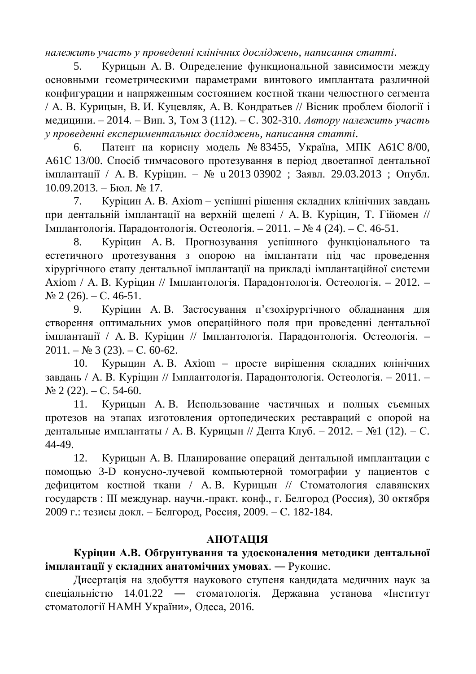*ɧɚɥɟɠɢɬɶɭɱɚɫɬɶɭɩɪɨɜɟɞɟɧɧɿɤɥɿɧɿɱɧɢɯɞɨɫɥɿɞɠɟɧɶ, ɧɚɩɢɫɚɧɧɹɫɬɚɬɬɿ*.

5. Курицын А.В. Определение функциональной зависимости между основными геометрическими параметрами винтового имплантата различной конфигурации и напряженным состоянием костной ткани челюстного сегмента / А. В. Курицын, В. И. Куцевляк, А. В. Кондратьев // Вісник проблем біології і медицини. – 2014. – Вип. 3, Том 3 (112). – С. 302-310. *Автору належить участь* у проведенні експериментальних досліджень, написання статті.

6. Патент на корисну модель № 83455, Україна, МПК А61С 8/00, А61С 13/00. Спосіб тимчасового протезування в період двоетапної дентальної імплантації / А. В. Куріцин. – № и 2013 03902 ; Заявл. 29.03.2013 ; Опубл.  $10.09.2013. -$  Бюл. № 17.

7. Куріцин А. В. Axiom – успішні рішення складних клінічних завдань при дентальній імплантації на верхній щелепі / А. В. Куріцин, Т. Гійомен // Имплантологія. Парадонтологія. Остеологія. – 2011. – № 4 (24). – С. 46-51.

8. Куріцин А.В. Прогнозування успішного функціонального та естетичного протезування з опорою на імплантати під час проведення хірургічного етапу дентальної імплантації на прикладі імплантаційної системи Axiom / А. В. Куріцин // Імплантологія. Парадонтологія. Остеологія. – 2012. –  $\mathcal{N}$ <sup>o</sup> 2 (26). – C. 46-51.

9. Куріцин А.В. Застосування п'єзохірургічного обладнання для створення оптимальних умов операційного поля при проведенні дентальної імплантації / А. В. Куріцин // Імплантологія. Парадонтологія. Остеологія. –  $2011. - N<sub>2</sub>$  3 (23). – C. 60-62.

10. Курыцин А.В. Axiom – просте вирішення складних клінічних завдань / А. В. Куріцин // Імплантологія. Парадонтологія. Остеологія. – 2011. –  $\mathcal{N}$ <sup>o</sup> 2 (22). – C, 54-60.

11. Курицын А.В. Использование частичных и полных съемных протезов на этапах изготовления ортопедических реставраций с опорой на дентальные имплантаты / А. В. Курицын // Дента Клуб. – 2012. – №1 (12). – С. 44-49.

12. Курицын А.В. Планирование операций дентальной имплантации с помощью 3-D конусно-лучевой компьютерной томографии у пациентов с дефицитом костной ткани / А.В. Курицын // Стоматология славянских государств : Ш междунар. научн.-практ. конф., г. Белгород (Россия), 30 октября 2009 г.: тезисы докл. – Белгород, Россия, 2009. – С. 182-184.

### **AHOTAIIIA**

Куріцин А.В. Обґрунтування та удосконалення методики дентальної **імплантації у складних анатомічних умовах.** — Рукопис.

Дисертація на здобуття наукового ступеня кандидата медичних наук за спеціальністю 14.01.22 — стоматологія. Державна установа «Інститут стоматології НАМН України», Одеса, 2016.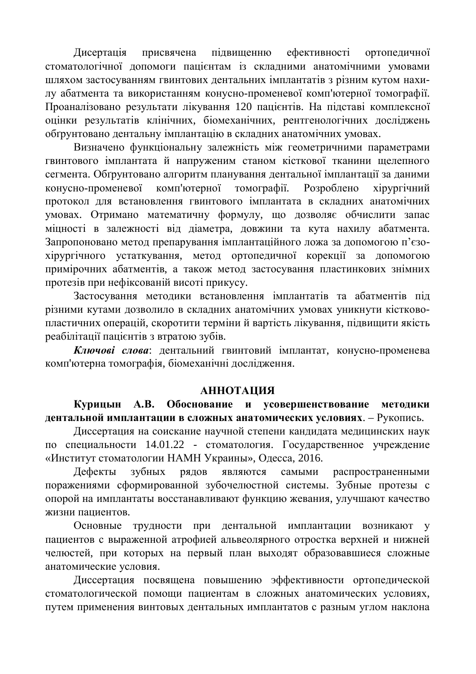Дисертація присвячена підвищенню ефективності ортопедичної стоматологічної допомоги пацієнтам із складними анатомічними умовами шляхом застосуванням гвинтових дентальних імплантатів з різним кутом нахилу абатмента та використанням конусно-променевої комп'ютерної томографії. Проаналізовано результати лікування 120 пацієнтів. На підставі комплексної оцінки результатів клінічних, біомеханічних, рентгенологічних досліджень обґрунтовано дентальну імплантацію в складних анатомічних умовах.

Визначено функціональну залежність між геометричними параметрами гвинтового імплантата й напруженим станом кісткової тканини щелепного сегмента. Обґрунтовано алгоритм планування дентальної імплантації за даними конусно-променевої комп'ютерної томографії. Розроблено хірургічний протокол для встановлення гвинтового імплантата в складних анатомічних умовах. Отримано математичну формулу, що дозволяє обчислити запас міцності в залежності від діаметра, довжини та кута нахилу абатмента. Запропоновано метод препарування імплантаційного ложа за допомогою п'єзохірургічного устаткування, метод ортопедичної корекції за допомогою примірочних абатментів, а також метод застосування пластинкових знімних протезів при нефіксованій висоті прикусу.

Застосування методики встановлення імплантатів та абатментів під різними кутами дозволило в складних анатомічних умовах уникнути кістковопластичних операцій, скоротити терміни й вартість лікування, підвищити якість реабілітації пацієнтів з втратою зубів.

Ключові слова: дентальний гвинтовий імплантат, конусно-променева комп'ютерна томографія, біомеханічні дослідження.

#### **АННОТАЦИЯ**

Курицын А.В. Обоснование и усовершенствование методики дентальной имплантации в сложных анатомических условиях. – Рукопись.

Диссертация на соискание научной степени кандидата медицинских наук по специальности 14.01.22 - стоматология. Государственное учреждение «Институт стоматологии НАМН Украины», Одесса, 2016.

Дефекты зубных рядов являются самыми распространенными поражениями сформированной зубочелюстной системы. Зубные протезы с опорой на имплантаты восстанавливают функцию жевания, улучшают качество жизни пациентов.

Основные трудности при дентальной имплантации возникают у пациентов с выраженной атрофией альвеолярного отростка верхней и нижней челюстей, при которых на первый план выходят образовавшиеся сложные анатомические условия.

Диссертация посвящена повышению эффективности ортопедической стоматологической помощи пациентам в сложных анатомических условиях, путем применения винтовых дентальных имплантатов с разным углом наклона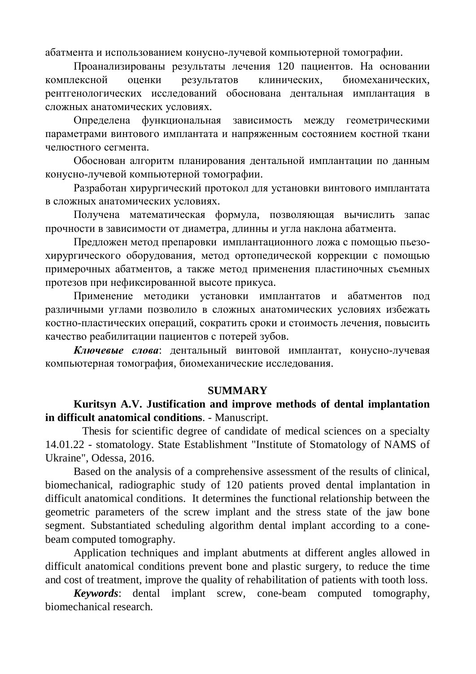абатмента и использованием конусно-лучевой компьютерной томографии.

Проанализированы результаты лечения 120 пациентов. На основании комплексной оценки результатов клинических, биомеханических, рентгенологических исследований обоснована дентальная имплантация в сложных анатомических условиях.

Определена функциональная зависимость между геометрическими параметрами винтового имплантата и напряженным состоянием костной ткани челюстного сегмента.

Обоснован алгоритм планирования дентальной имплантации по данным конусно-лучевой компьютерной томографии.

Разработан хирургический протокол для установки винтового имплантата в сложных анатомических условиях.

Получена математическая формула, позволяющая вычислить запас прочности в зависимости от диаметра, длинны и угла наклона абатмента.

Предложен метод препаровки имплантационного ложа с помощью пьезохирургического оборудования, метод ортопедической коррекции с помощью примерочных абатментов, а также метод применения пластиночных съемных протезов при нефиксированной высоте прикуса.

Применение методики установки имплантатов и абатментов под различными углами позволило в сложных анатомических условиях избежать костно-пластических операций, сократить сроки и стоимость лечения, повысить качество реабилитации пациентов с потерей зубов.

Ключевые слова: дентальный винтовой имплантат, конусно-лучевая компьютерная томография, биомеханические исследования.

#### **SUMMARY**

#### **Kuritsyn A.V. Justification and improve methods of dental implantation in difficult anatomical conditions**. - Manuscript.

 Thesis for scientific degree of candidate of medical sciences on a specialty 14.01.22 - stomatology. State Establishment "Institute of Stomatology of NAMS of Ukraine", Odessa, 2016.

Based on the analysis of a comprehensive assessment of the results of clinical, biomechanical, radiographic study of 120 patients proved dental implantation in difficult anatomical conditions. It determines the functional relationship between the geometric parameters of the screw implant and the stress state of the jaw bone segment. Substantiated scheduling algorithm dental implant according to a conebeam computed tomography.

Application techniques and implant abutments at different angles allowed in difficult anatomical conditions prevent bone and plastic surgery, to reduce the time and cost of treatment, improve the quality of rehabilitation of patients with tooth loss.

*Keywords*: dental implant screw, cone-beam computed tomography, biomechanical research.